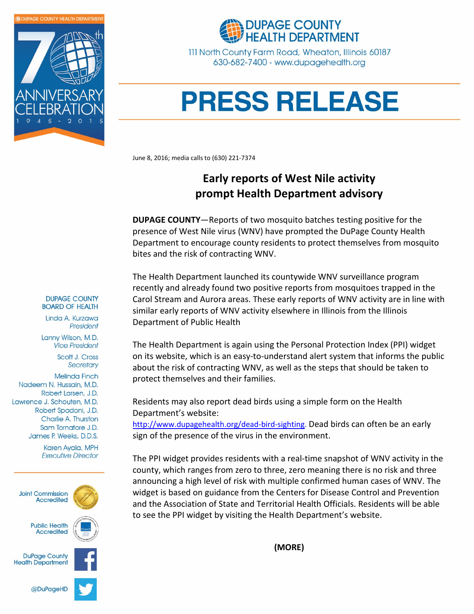



111 North County Farm Road, Wheaton, Illinois 60187 630-682-7400 - www.dupagehealth.org

## **PRESS RELEASE**

June 8, 2016; media calls to (630) 221-7374

## Early reports of West Nile activity prompt Health Department advisory

DUPAGE COUNTY—Reports of two mosquito batches testing positive for the presence of West Nile virus (WNV) have prompted the DuPage County Health Department to encourage county residents to protect themselves from mosquito bites and the risk of contracting WNV.

The Health Department launched its countywide WNV surveillance program recently and already found two positive reports from mosquitoes trapped in the Carol Stream and Aurora areas. These early reports of WNV activity are in line with similar early reports of WNV activity elsewhere in Illinois from the Illinois Department of Public Health

The Health Department is again using the Personal Protection Index (PPI) widget on its website, which is an easy-to-understand alert system that informs the public about the risk of contracting WNV, as well as the steps that should be taken to protect themselves and their families.

Residents may also report dead birds using a simple form on the Health Department's website:

http://www.dupagehealth.org/dead-bird-sighting. Dead birds can often be an early sign of the presence of the virus in the environment.

The PPI widget provides residents with a real-time snapshot of WNV activity in the county, which ranges from zero to three, zero meaning there is no risk and three announcing a high level of risk with multiple confirmed human cases of WNV. The widget is based on guidance from the Centers for Disease Control and Prevention and the Association of State and Territorial Health Officials. Residents will be able to see the PPI widget by visiting the Health Department's website.

(MORE)

**DUPAGE COUNTY BOARD OF HEALTH** 

Linda A. Kurzawa President

Lanny Wilson, M.D. **Vice President** 

> Scott J. Cross Secretary

**Melinda Finch** Nadeem N. Hussain, M.D. Robert Larsen, J.D. Lawrence J. Schouten, M.D. Robert Spadoni, J.D. Charlie A. Thurston Sam Tornatore J.D. James P. Weeks, D.D.S.

> Karen Ayala, MPH **Executive Director**



**Public Health Accredited**